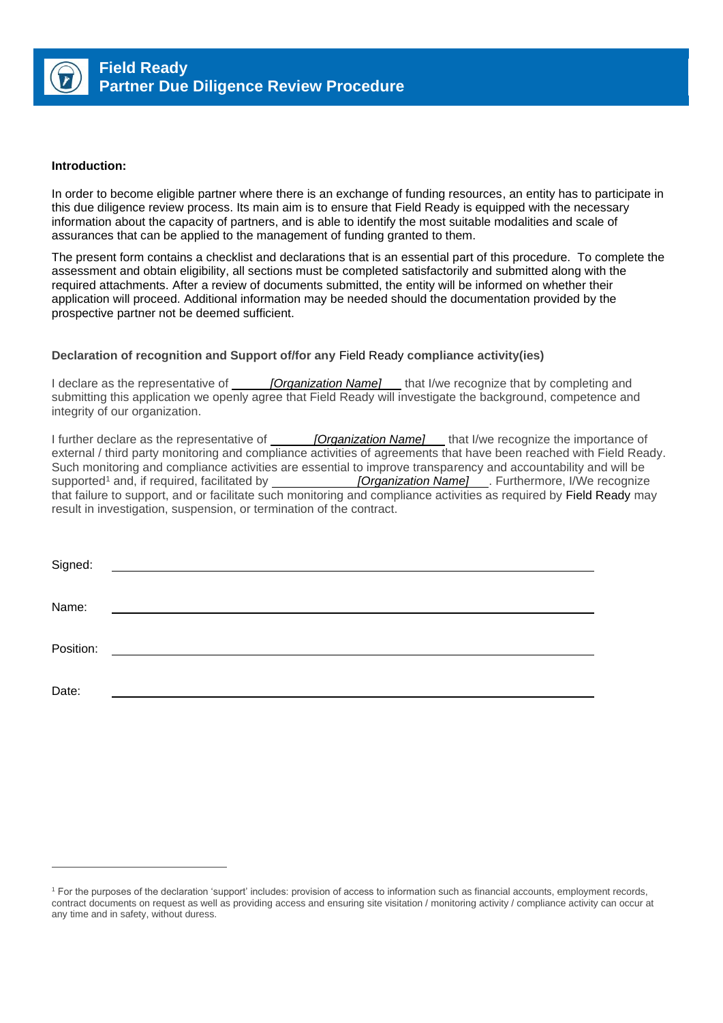

#### **Introduction:**

In order to become eligible partner where there is an exchange of funding resources, an entity has to participate in this due diligence review process. Its main aim is to ensure that Field Ready is equipped with the necessary information about the capacity of partners, and is able to identify the most suitable modalities and scale of assurances that can be applied to the management of funding granted to them.

The present form contains a checklist and declarations that is an essential part of this procedure. To complete the assessment and obtain eligibility, all sections must be completed satisfactorily and submitted along with the required attachments. After a review of documents submitted, the entity will be informed on whether their application will proceed. Additional information may be needed should the documentation provided by the prospective partner not be deemed sufficient.

#### **Declaration of recognition and Support of/for any** Field Ready **compliance activity(ies)**

I declare as the representative of *[Organization Name]* that I/we recognize that by completing and submitting this application we openly agree that Field Ready will investigate the background, competence and integrity of our organization.

I further declare as the representative of *[Organization Name]* that I/we recognize the importance of external / third party monitoring and compliance activities of agreements that have been reached with Field Ready. Such monitoring and compliance activities are essential to improve transparency and accountability and will be<br> **Supported<sup>1</sup>** and, if required, facilitated by **[Organization Name]** . Furthermore, I/We recognize **[Organization Name]** . Furthermore, I/We recognize that failure to support, and or facilitate such monitoring and compliance activities as required by Field Ready may result in investigation, suspension, or termination of the contract.

| Signed:   | <u> 1980 - Jan Stein Harry Stein Harry Stein Harry Stein Harry Stein Harry Stein Harry Stein Harry Stein Harry St</u> |
|-----------|-----------------------------------------------------------------------------------------------------------------------|
|           |                                                                                                                       |
| Name:     |                                                                                                                       |
|           |                                                                                                                       |
| Position: |                                                                                                                       |
|           |                                                                                                                       |
|           |                                                                                                                       |
| Date:     |                                                                                                                       |

<sup>1</sup> For the purposes of the declaration 'support' includes: provision of access to information such as financial accounts, employment records, contract documents on request as well as providing access and ensuring site visitation / monitoring activity / compliance activity can occur at any time and in safety, without duress.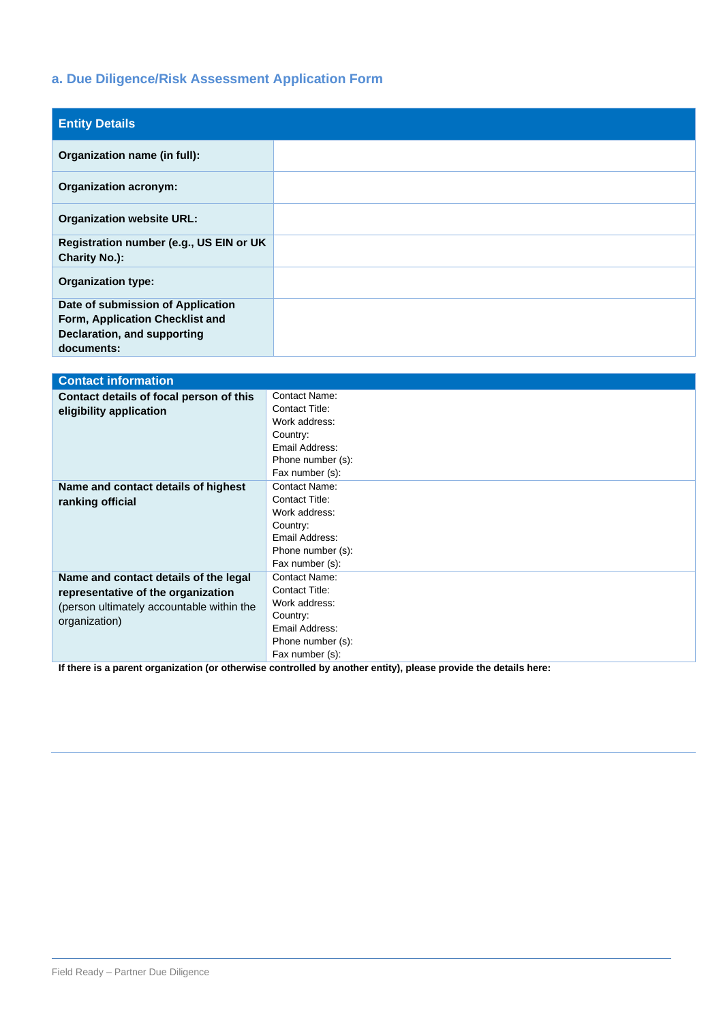# **a. Due Diligence/Risk Assessment Application Form**

| <b>Entity Details</b>                                                                                             |  |
|-------------------------------------------------------------------------------------------------------------------|--|
| Organization name (in full):                                                                                      |  |
| <b>Organization acronym:</b>                                                                                      |  |
| <b>Organization website URL:</b>                                                                                  |  |
| Registration number (e.g., US EIN or UK<br><b>Charity No.):</b>                                                   |  |
| <b>Organization type:</b>                                                                                         |  |
| Date of submission of Application<br>Form, Application Checklist and<br>Declaration, and supporting<br>documents: |  |

| <b>Contact information</b>                                                                                      |                      |  |  |
|-----------------------------------------------------------------------------------------------------------------|----------------------|--|--|
| Contact details of focal person of this                                                                         | <b>Contact Name:</b> |  |  |
| eligibility application                                                                                         | Contact Title:       |  |  |
|                                                                                                                 | Work address:        |  |  |
|                                                                                                                 | Country:             |  |  |
|                                                                                                                 | Email Address:       |  |  |
|                                                                                                                 | Phone number (s):    |  |  |
|                                                                                                                 | Fax number (s):      |  |  |
| Name and contact details of highest                                                                             | Contact Name:        |  |  |
| ranking official                                                                                                | Contact Title:       |  |  |
|                                                                                                                 | Work address:        |  |  |
|                                                                                                                 | Country:             |  |  |
|                                                                                                                 | Email Address:       |  |  |
|                                                                                                                 | Phone number (s):    |  |  |
|                                                                                                                 | Fax number (s):      |  |  |
| Name and contact details of the legal                                                                           | Contact Name:        |  |  |
| representative of the organization                                                                              | Contact Title:       |  |  |
| (person ultimately accountable within the                                                                       | Work address:        |  |  |
| organization)                                                                                                   | Country:             |  |  |
|                                                                                                                 | Email Address:       |  |  |
|                                                                                                                 | Phone number (s):    |  |  |
|                                                                                                                 | Fax number (s):      |  |  |
| If there is a parent organization (or otherwise controlled by another entity), please provide the details here: |                      |  |  |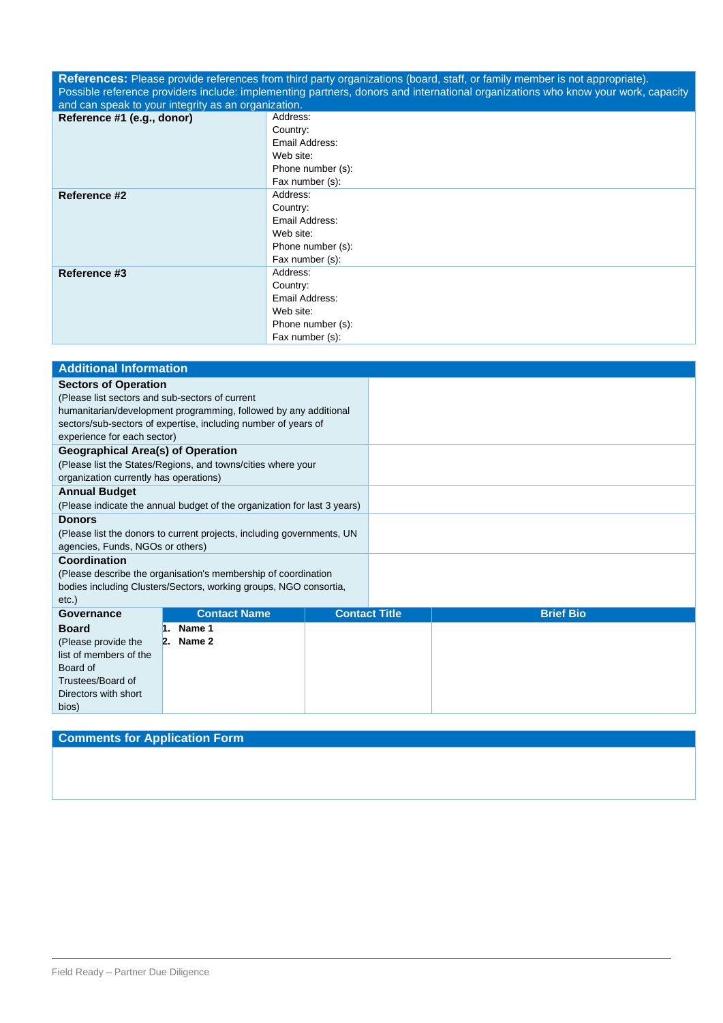**References:** Please provide references from third party organizations (board, staff, or family member is not appropriate). Possible reference providers include: implementing partners, donors and international organizations who know your work, capacity and can speak to your integrity as an organization.

| and ban oppear to your integrity as an organization. |                   |
|------------------------------------------------------|-------------------|
| Reference #1 (e.g., donor)                           | Address:          |
|                                                      | Country:          |
|                                                      | Email Address:    |
|                                                      | Web site:         |
|                                                      | Phone number (s): |
|                                                      | Fax number (s):   |
| Reference #2                                         | Address:          |
|                                                      | Country:          |
|                                                      | Email Address:    |
|                                                      | Web site:         |
|                                                      | Phone number (s): |
|                                                      | Fax number (s):   |
| Reference #3                                         | Address:          |
|                                                      | Country:          |
|                                                      | Email Address:    |
|                                                      | Web site:         |
|                                                      | Phone number (s): |
|                                                      | Fax number (s):   |

| <b>Additional Information</b>                   |                                                                          |                      |  |                  |
|-------------------------------------------------|--------------------------------------------------------------------------|----------------------|--|------------------|
| <b>Sectors of Operation</b>                     |                                                                          |                      |  |                  |
| (Please list sectors and sub-sectors of current |                                                                          |                      |  |                  |
|                                                 | humanitarian/development programming, followed by any additional         |                      |  |                  |
|                                                 | sectors/sub-sectors of expertise, including number of years of           |                      |  |                  |
| experience for each sector)                     |                                                                          |                      |  |                  |
| <b>Geographical Area(s) of Operation</b>        |                                                                          |                      |  |                  |
|                                                 | (Please list the States/Regions, and towns/cities where your             |                      |  |                  |
| organization currently has operations)          |                                                                          |                      |  |                  |
| <b>Annual Budget</b>                            |                                                                          |                      |  |                  |
|                                                 | (Please indicate the annual budget of the organization for last 3 years) |                      |  |                  |
| <b>Donors</b>                                   |                                                                          |                      |  |                  |
|                                                 | (Please list the donors to current projects, including governments, UN   |                      |  |                  |
| agencies, Funds, NGOs or others)                |                                                                          |                      |  |                  |
| Coordination                                    |                                                                          |                      |  |                  |
|                                                 | (Please describe the organisation's membership of coordination           |                      |  |                  |
|                                                 | bodies including Clusters/Sectors, working groups, NGO consortia,        |                      |  |                  |
| $etc.$ )                                        |                                                                          |                      |  |                  |
| Governance                                      | <b>Contact Name</b>                                                      | <b>Contact Title</b> |  | <b>Brief Bio</b> |
| <b>Board</b>                                    | $1.$ Name 1                                                              |                      |  |                  |
| (Please provide the                             | $2.$ Name 2                                                              |                      |  |                  |
| list of members of the                          |                                                                          |                      |  |                  |
| Board of                                        |                                                                          |                      |  |                  |
| Trustees/Board of                               |                                                                          |                      |  |                  |
| Directors with short                            |                                                                          |                      |  |                  |
| bios)                                           |                                                                          |                      |  |                  |

# **Comments for Application Form**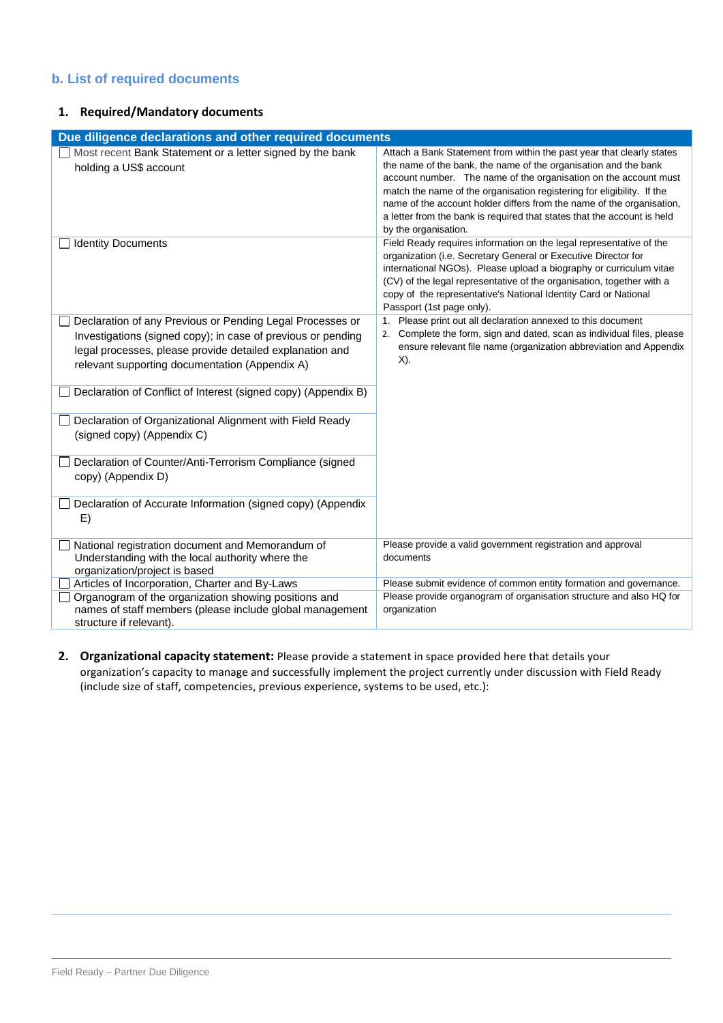# **b. List of required documents**

## **1. Required/Mandatory documents**

| Due diligence declarations and other required documents                                                                                                                                                                                 |                                                                                                                                                                                                                                                                                                                                                                                                                                                                    |
|-----------------------------------------------------------------------------------------------------------------------------------------------------------------------------------------------------------------------------------------|--------------------------------------------------------------------------------------------------------------------------------------------------------------------------------------------------------------------------------------------------------------------------------------------------------------------------------------------------------------------------------------------------------------------------------------------------------------------|
| Most recent Bank Statement or a letter signed by the bank<br>holding a US\$ account                                                                                                                                                     | Attach a Bank Statement from within the past year that clearly states<br>the name of the bank, the name of the organisation and the bank<br>account number. The name of the organisation on the account must<br>match the name of the organisation registering for eligibility. If the<br>name of the account holder differs from the name of the organisation,<br>a letter from the bank is required that states that the account is held<br>by the organisation. |
| <b>Identity Documents</b>                                                                                                                                                                                                               | Field Ready requires information on the legal representative of the<br>organization (i.e. Secretary General or Executive Director for<br>international NGOs). Please upload a biography or curriculum vitae<br>(CV) of the legal representative of the organisation, together with a<br>copy of the representative's National Identity Card or National<br>Passport (1st page only).                                                                               |
| Declaration of any Previous or Pending Legal Processes or<br>Investigations (signed copy); in case of previous or pending<br>legal processes, please provide detailed explanation and<br>relevant supporting documentation (Appendix A) | Please print out all declaration annexed to this document<br>1.<br>Complete the form, sign and dated, scan as individual files, please<br>2.<br>ensure relevant file name (organization abbreviation and Appendix<br>$X$ ).                                                                                                                                                                                                                                        |
| Declaration of Conflict of Interest (signed copy) (Appendix B)                                                                                                                                                                          |                                                                                                                                                                                                                                                                                                                                                                                                                                                                    |
| Declaration of Organizational Alignment with Field Ready<br>(signed copy) (Appendix C)                                                                                                                                                  |                                                                                                                                                                                                                                                                                                                                                                                                                                                                    |
| Declaration of Counter/Anti-Terrorism Compliance (signed<br>copy) (Appendix D)                                                                                                                                                          |                                                                                                                                                                                                                                                                                                                                                                                                                                                                    |
| Declaration of Accurate Information (signed copy) (Appendix<br>E)                                                                                                                                                                       |                                                                                                                                                                                                                                                                                                                                                                                                                                                                    |
| National registration document and Memorandum of<br>Understanding with the local authority where the<br>organization/project is based                                                                                                   | Please provide a valid government registration and approval<br>documents                                                                                                                                                                                                                                                                                                                                                                                           |
| Articles of Incorporation, Charter and By-Laws                                                                                                                                                                                          | Please submit evidence of common entity formation and governance.                                                                                                                                                                                                                                                                                                                                                                                                  |
| Organogram of the organization showing positions and<br>names of staff members (please include global management<br>structure if relevant).                                                                                             | Please provide organogram of organisation structure and also HQ for<br>organization                                                                                                                                                                                                                                                                                                                                                                                |

**2. Organizational capacity statement:** Please provide a statement in space provided here that details your organization's capacity to manage and successfully implement the project currently under discussion with Field Ready (include size of staff, competencies, previous experience, systems to be used, etc.):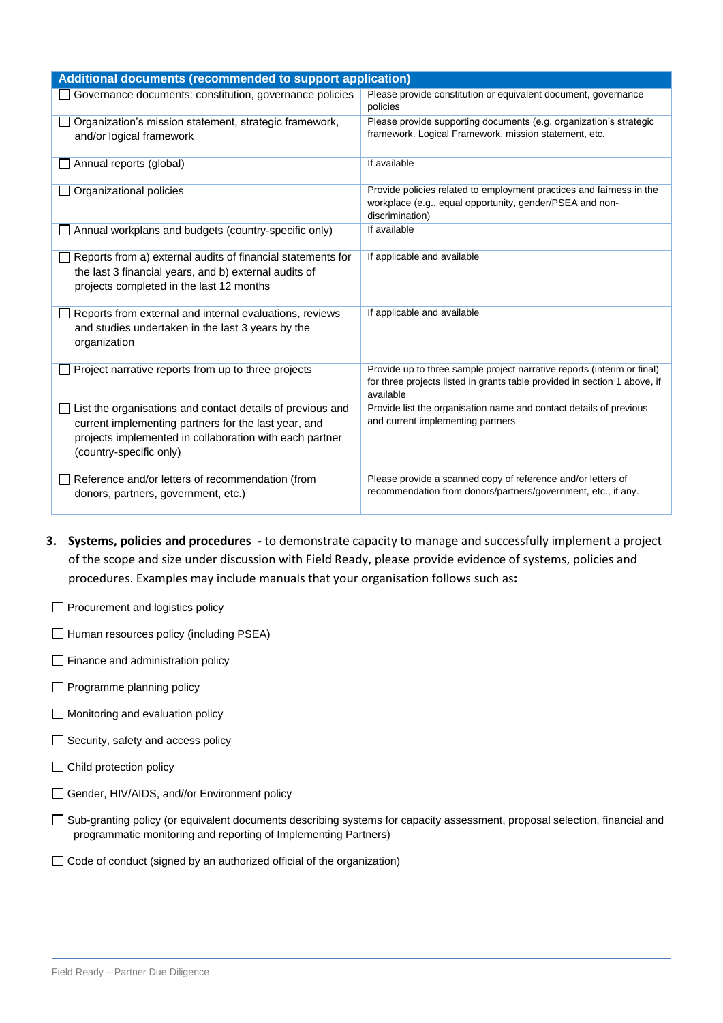| Additional documents (recommended to support application)                                                                                                                                                |                                                                                                                                                                   |
|----------------------------------------------------------------------------------------------------------------------------------------------------------------------------------------------------------|-------------------------------------------------------------------------------------------------------------------------------------------------------------------|
| Governance documents: constitution, governance policies                                                                                                                                                  | Please provide constitution or equivalent document, governance<br>policies                                                                                        |
| Organization's mission statement, strategic framework,<br>and/or logical framework                                                                                                                       | Please provide supporting documents (e.g. organization's strategic<br>framework. Logical Framework, mission statement, etc.                                       |
| Annual reports (global)                                                                                                                                                                                  | If available                                                                                                                                                      |
| Organizational policies                                                                                                                                                                                  | Provide policies related to employment practices and fairness in the<br>workplace (e.g., equal opportunity, gender/PSEA and non-<br>discrimination)               |
| Annual workplans and budgets (country-specific only)                                                                                                                                                     | If available                                                                                                                                                      |
| Reports from a) external audits of financial statements for<br>the last 3 financial years, and b) external audits of<br>projects completed in the last 12 months                                         | If applicable and available                                                                                                                                       |
| Reports from external and internal evaluations, reviews<br>and studies undertaken in the last 3 years by the<br>organization                                                                             | If applicable and available                                                                                                                                       |
| Project narrative reports from up to three projects                                                                                                                                                      | Provide up to three sample project narrative reports (interim or final)<br>for three projects listed in grants table provided in section 1 above, if<br>available |
| List the organisations and contact details of previous and<br>current implementing partners for the last year, and<br>projects implemented in collaboration with each partner<br>(country-specific only) | Provide list the organisation name and contact details of previous<br>and current implementing partners                                                           |
| Reference and/or letters of recommendation (from<br>donors, partners, government, etc.)                                                                                                                  | Please provide a scanned copy of reference and/or letters of<br>recommendation from donors/partners/government, etc., if any.                                     |

- **3. Systems, policies and procedures -** to demonstrate capacity to manage and successfully implement a project of the scope and size under discussion with Field Ready, please provide evidence of systems, policies and procedures. Examples may include manuals that your organisation follows such as**:**
- **Procurement and logistics policy**
- $\Box$  Human resources policy (including PSEA)
- $\Box$  Finance and administration policy
- Programme planning policy
- Monitoring and evaluation policy
- $\Box$  Security, safety and access policy
- □ Child protection policy
- □ Gender, HIV/AIDS, and//or Environment policy
- □ Sub-granting policy (or equivalent documents describing systems for capacity assessment, proposal selection, financial and programmatic monitoring and reporting of Implementing Partners)
- □ Code of conduct (signed by an authorized official of the organization)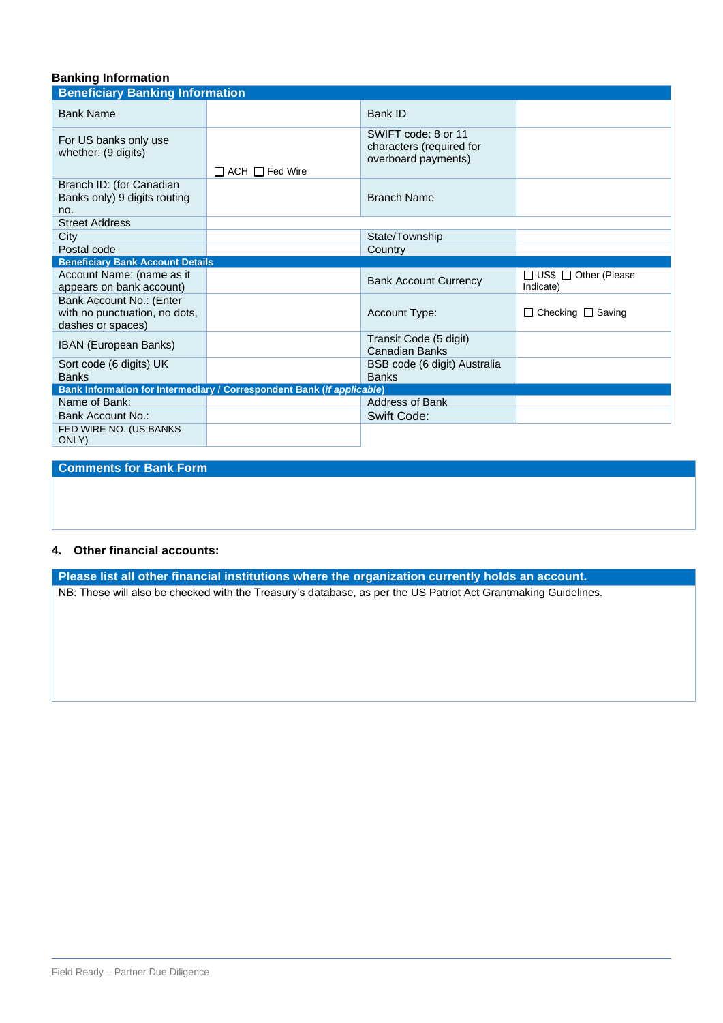# **Banking Information**

| <b>Beneficiary Banking Information</b>                                         |                                                                        |                                                                        |                                     |
|--------------------------------------------------------------------------------|------------------------------------------------------------------------|------------------------------------------------------------------------|-------------------------------------|
| <b>Bank Name</b>                                                               |                                                                        | Bank ID                                                                |                                     |
| For US banks only use<br>whether: (9 digits)                                   | $\Box$ ACH $\Box$ Fed Wire                                             | SWIFT code: 8 or 11<br>characters (required for<br>overboard payments) |                                     |
| Branch ID: (for Canadian<br>Banks only) 9 digits routing<br>no.                |                                                                        | <b>Branch Name</b>                                                     |                                     |
| <b>Street Address</b>                                                          |                                                                        |                                                                        |                                     |
| City                                                                           |                                                                        | State/Township                                                         |                                     |
| Postal code                                                                    |                                                                        | Country                                                                |                                     |
| <b>Beneficiary Bank Account Details</b>                                        |                                                                        |                                                                        |                                     |
| Account Name: (name as it<br>appears on bank account)                          |                                                                        | <b>Bank Account Currency</b>                                           | □ US\$ □ Other (Please<br>Indicate) |
| Bank Account No.: (Enter<br>with no punctuation, no dots,<br>dashes or spaces) |                                                                        | Account Type:                                                          | □ Checking □ Saving                 |
| IBAN (European Banks)                                                          |                                                                        |                                                                        |                                     |
|                                                                                |                                                                        | Transit Code (5 digit)<br><b>Canadian Banks</b>                        |                                     |
| Sort code (6 digits) UK<br><b>Banks</b>                                        |                                                                        | BSB code (6 digit) Australia<br><b>Banks</b>                           |                                     |
|                                                                                | Bank Information for Intermediary / Correspondent Bank (if applicable) |                                                                        |                                     |
| Name of Bank:                                                                  |                                                                        | <b>Address of Bank</b>                                                 |                                     |
| Bank Account No.:                                                              |                                                                        | Swift Code:                                                            |                                     |

## **Comments for Bank Form**

#### **4. Other financial accounts:**

**Please list all other financial institutions where the organization currently holds an account.**

NB: These will also be checked with the Treasury's database, as per the US Patriot Act Grantmaking Guidelines.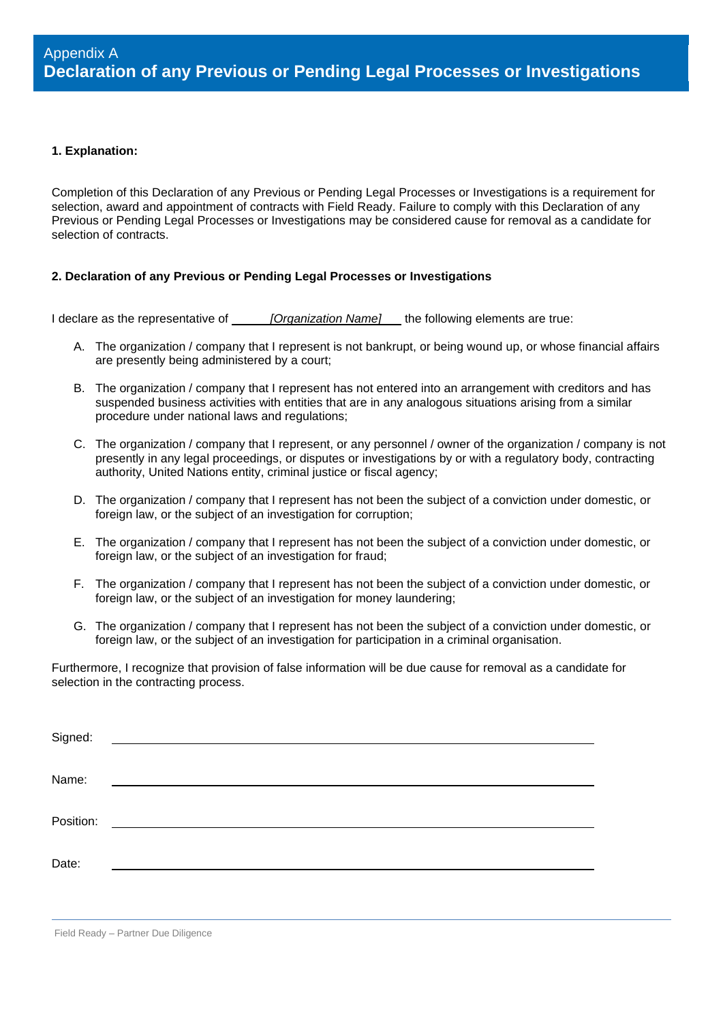#### **1. Explanation:**

Completion of this Declaration of any Previous or Pending Legal Processes or Investigations is a requirement for selection, award and appointment of contracts with Field Ready. Failure to comply with this Declaration of any Previous or Pending Legal Processes or Investigations may be considered cause for removal as a candidate for selection of contracts.

## **2. Declaration of any Previous or Pending Legal Processes or Investigations**

I declare as the representative of *[Organization Name]* the following elements are true:

- A. The organization / company that I represent is not bankrupt, or being wound up, or whose financial affairs are presently being administered by a court;
- B. The organization / company that I represent has not entered into an arrangement with creditors and has suspended business activities with entities that are in any analogous situations arising from a similar procedure under national laws and regulations;
- C. The organization / company that I represent, or any personnel / owner of the organization / company is not presently in any legal proceedings, or disputes or investigations by or with a regulatory body, contracting authority, United Nations entity, criminal justice or fiscal agency;
- D. The organization / company that I represent has not been the subject of a conviction under domestic, or foreign law, or the subject of an investigation for corruption;
- E. The organization / company that I represent has not been the subject of a conviction under domestic, or foreign law, or the subject of an investigation for fraud;
- F. The organization / company that I represent has not been the subject of a conviction under domestic, or foreign law, or the subject of an investigation for money laundering;
- G. The organization / company that I represent has not been the subject of a conviction under domestic, or foreign law, or the subject of an investigation for participation in a criminal organisation.

Furthermore, I recognize that provision of false information will be due cause for removal as a candidate for selection in the contracting process.

| Signed:   |                                                    |
|-----------|----------------------------------------------------|
| Name:     |                                                    |
| Position: | <u> 1989 - John Stein, Amerikaansk politiker (</u> |
| Date:     |                                                    |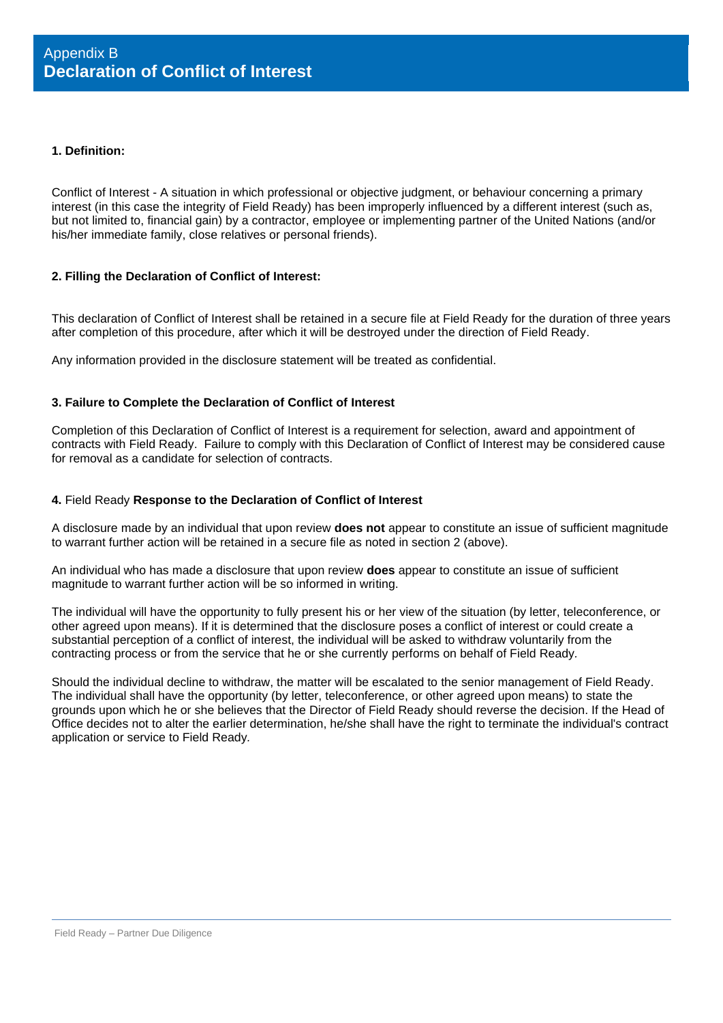#### **1. Definition:**

Conflict of Interest - A situation in which professional or objective judgment, or behaviour concerning a primary interest (in this case the integrity of Field Ready) has been improperly influenced by a different interest (such as, but not limited to, financial gain) by a contractor, employee or implementing partner of the United Nations (and/or his/her immediate family, close relatives or personal friends).

## **2. Filling the Declaration of Conflict of Interest:**

This declaration of Conflict of Interest shall be retained in a secure file at Field Ready for the duration of three years after completion of this procedure, after which it will be destroyed under the direction of Field Ready.

Any information provided in the disclosure statement will be treated as confidential.

#### **3. Failure to Complete the Declaration of Conflict of Interest**

Completion of this Declaration of Conflict of Interest is a requirement for selection, award and appointment of contracts with Field Ready. Failure to comply with this Declaration of Conflict of Interest may be considered cause for removal as a candidate for selection of contracts.

#### **4.** Field Ready **Response to the Declaration of Conflict of Interest**

A disclosure made by an individual that upon review **does not** appear to constitute an issue of sufficient magnitude to warrant further action will be retained in a secure file as noted in section 2 (above).

An individual who has made a disclosure that upon review **does** appear to constitute an issue of sufficient magnitude to warrant further action will be so informed in writing.

The individual will have the opportunity to fully present his or her view of the situation (by letter, teleconference, or other agreed upon means). If it is determined that the disclosure poses a conflict of interest or could create a substantial perception of a conflict of interest, the individual will be asked to withdraw voluntarily from the contracting process or from the service that he or she currently performs on behalf of Field Ready*.*

Should the individual decline to withdraw, the matter will be escalated to the senior management of Field Ready. The individual shall have the opportunity (by letter, teleconference, or other agreed upon means) to state the grounds upon which he or she believes that the Director of Field Ready should reverse the decision. If the Head of Office decides not to alter the earlier determination, he/she shall have the right to terminate the individual's contract application or service to Field Ready*.*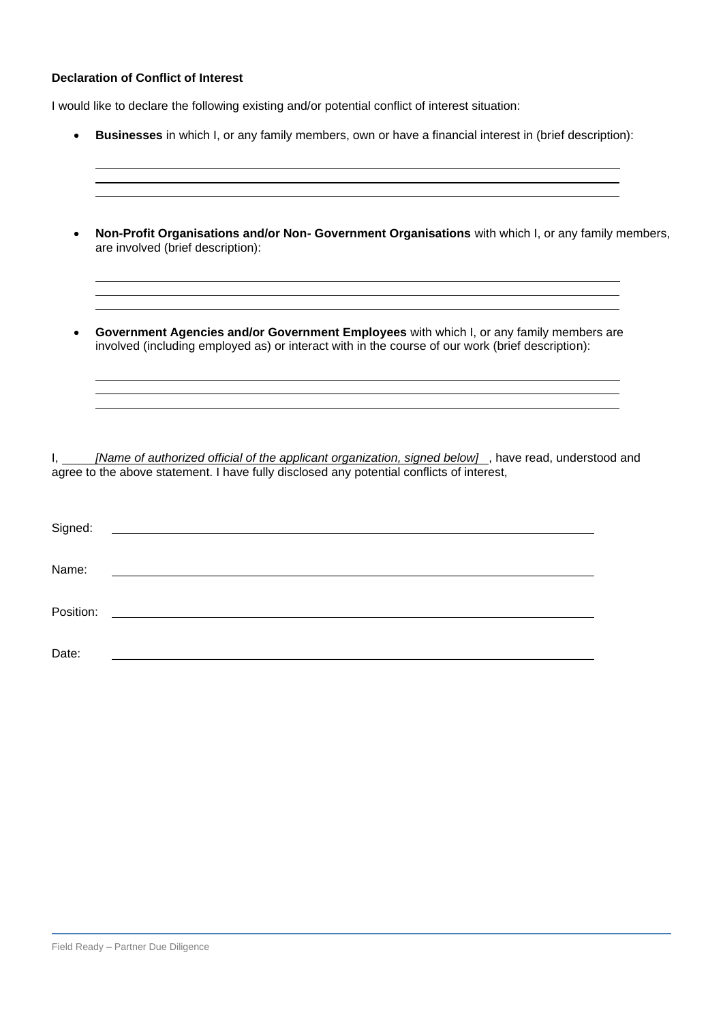# **Declaration of Conflict of Interest**

I would like to declare the following existing and/or potential conflict of interest situation:

|           | Businesses in which I, or any family members, own or have a financial interest in (brief description):                                                                                                                      |  |
|-----------|-----------------------------------------------------------------------------------------------------------------------------------------------------------------------------------------------------------------------------|--|
|           | Non-Profit Organisations and/or Non- Government Organisations with which I, or any family members,<br>are involved (brief description):<br>,我们也不会有什么。""我们的人,我们也不会有什么?""我们的人,我们也不会有什么?""我们的人,我们也不会有什么?""我们的人,我们也不会有什么?""我们的人 |  |
|           | Government Agencies and/or Government Employees with which I, or any family members are<br>involved (including employed as) or interact with in the course of our work (brief description):                                 |  |
| L. Gr     | [Name of authorized official of the applicant organization, signed below], have read, understood and<br>agree to the above statement. I have fully disclosed any potential conflicts of interest,                           |  |
| Signed:   |                                                                                                                                                                                                                             |  |
| Name:     |                                                                                                                                                                                                                             |  |
| Position: |                                                                                                                                                                                                                             |  |
| Date:     |                                                                                                                                                                                                                             |  |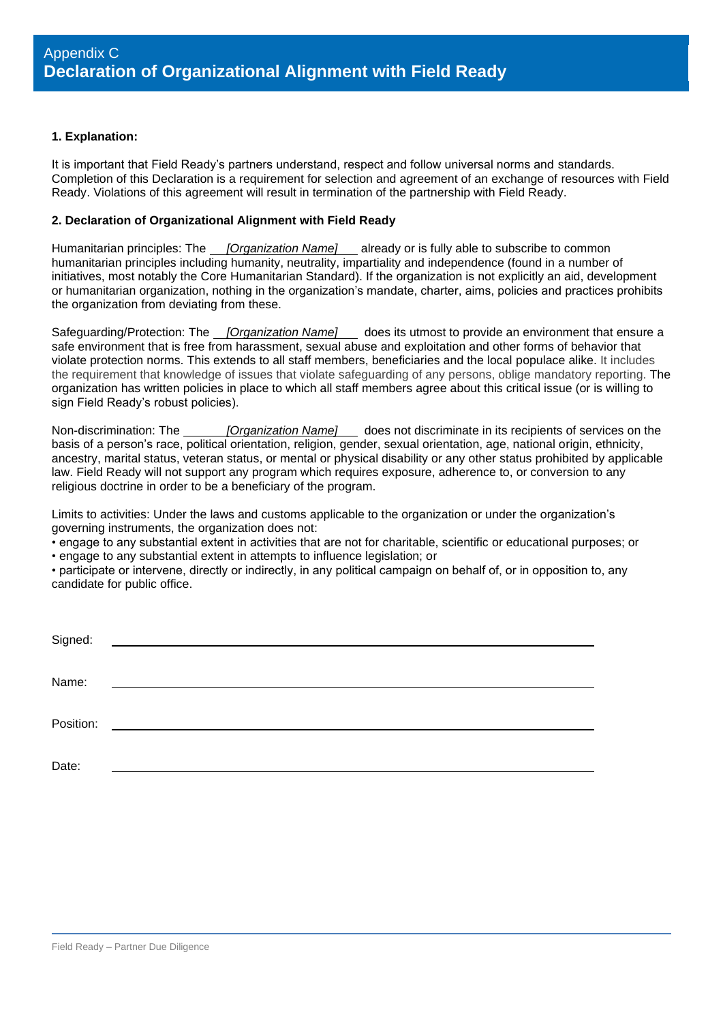#### **1. Explanation:**

It is important that Field Ready's partners understand, respect and follow universal norms and standards. Completion of this Declaration is a requirement for selection and agreement of an exchange of resources with Field Ready. Violations of this agreement will result in termination of the partnership with Field Ready.

## **2. Declaration of Organizational Alignment with Field Ready**

Humanitarian principles: The *[Organization Name]* already or is fully able to subscribe to common humanitarian principles including humanity, neutrality, impartiality and independence (found in a number of initiatives, most notably the Core Humanitarian Standard). If the organization is not explicitly an aid, development or humanitarian organization, nothing in the organization's mandate, charter, aims, policies and practices prohibits the organization from deviating from these.

Safeguarding/Protection: The *[Organization Name]* does its utmost to provide an environment that ensure a safe environment that is free from harassment, sexual abuse and exploitation and other forms of behavior that violate protection norms. This extends to all staff members, beneficiaries and the local populace alike. It includes the requirement that knowledge of issues that violate safeguarding of any persons, oblige mandatory reporting. The organization has written policies in place to which all staff members agree about this critical issue (or is willing to sign Field Ready's robust policies).

Non-discrimination: The *[Organization Name]* does not discriminate in its recipients of services on the basis of a person's race, political orientation, religion, gender, sexual orientation, age, national origin, ethnicity, ancestry, marital status, veteran status, or mental or physical disability or any other status prohibited by applicable law. Field Ready will not support any program which requires exposure, adherence to, or conversion to any religious doctrine in order to be a beneficiary of the program.

Limits to activities: Under the laws and customs applicable to the organization or under the organization's governing instruments, the organization does not:

• engage to any substantial extent in activities that are not for charitable, scientific or educational purposes; or • engage to any substantial extent in attempts to influence legislation; or

• participate or intervene, directly or indirectly, in any political campaign on behalf of, or in opposition to, any candidate for public office.

| Signed:   | <u> 1989 - Andrea State Barbara, politik e populari e populari e populari e populari e populari e populari e pop</u> |
|-----------|----------------------------------------------------------------------------------------------------------------------|
|           |                                                                                                                      |
| Name:     |                                                                                                                      |
|           |                                                                                                                      |
| Position: | <u> 1980 - Jan Samuel Barbara, politik eta politik eta politik eta politik eta politik eta politik eta politik e</u> |
|           |                                                                                                                      |
|           |                                                                                                                      |
| Date:     |                                                                                                                      |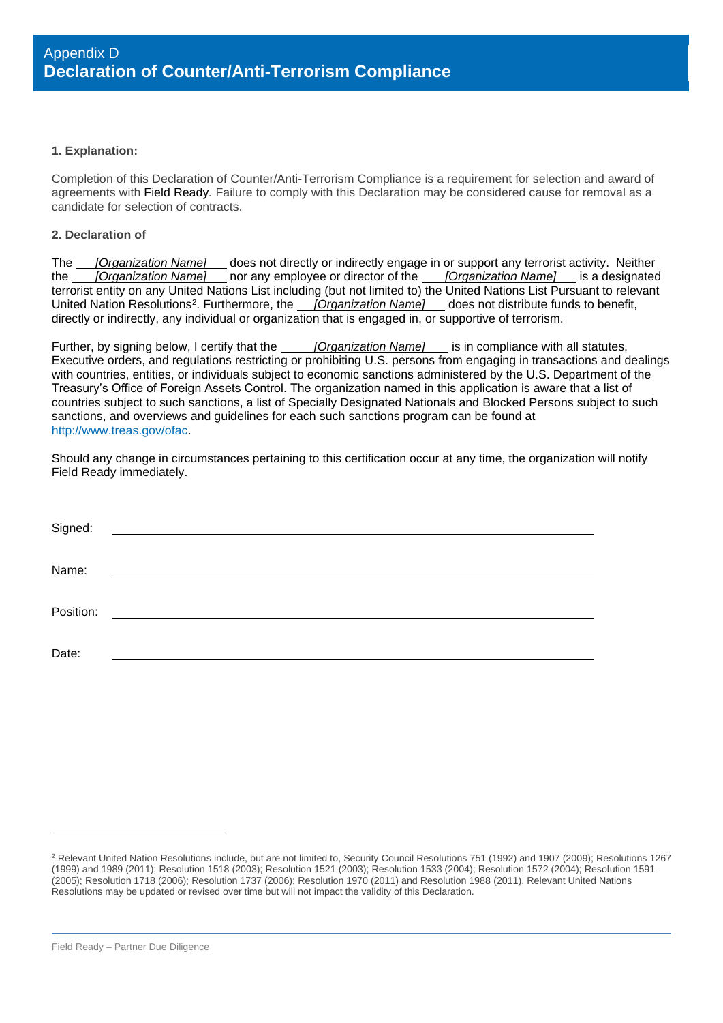#### **1. Explanation:**

Completion of this Declaration of Counter/Anti-Terrorism Compliance is a requirement for selection and award of agreements with Field Ready*.* Failure to comply with this Declaration may be considered cause for removal as a candidate for selection of contracts.

#### **2. Declaration of**

The *[Organization Name]* does not directly or indirectly engage in or support any terrorist activity. Neither the *[Organization Name]* nor any employee or director of the *[Organization Name]* is a designated terrorist entity on any United Nations List including (but not limited to) the United Nations List Pursuant to relevant United Nation Resolutions<sup>2</sup>. Furthermore, the *[Organization Name]* does not distribute funds to benefit, directly or indirectly, any individual or organization that is engaged in, or supportive of terrorism.

Further, by signing below, I certify that the *[Organization Name]* is in compliance with all statutes, Executive orders, and regulations restricting or prohibiting U.S. persons from engaging in transactions and dealings with countries, entities, or individuals subject to economic sanctions administered by the U.S. Department of the Treasury's Office of Foreign Assets Control. The organization named in this application is aware that a list of countries subject to such sanctions, a list of Specially Designated Nationals and Blocked Persons subject to such sanctions, and overviews and guidelines for each such sanctions program can be found at [http://www.treas.gov/ofac.](http://www.treas.gov/ofac)

Should any change in circumstances pertaining to this certification occur at any time, the organization will notify Field Ready immediately.

| Signed:   |                                                   |
|-----------|---------------------------------------------------|
| Name:     | <u> 1980 - Jan Samuel Barbara, margaret e</u>     |
| Position: | <u> 1989 - Andrea State Barbara, amerikan per</u> |
| Date:     |                                                   |

<sup>&</sup>lt;sup>2</sup> Relevant United Nation Resolutions include, but are not limited to, Security Council Resolutions 751 (1992) and 1907 (2009); Resolutions 1267 (1999) and 1989 (2011); Resolution 1518 (2003); Resolution 1521 (2003); Resolution 1533 (2004); Resolution 1572 (2004); Resolution 1591 (2005); Resolution 1718 (2006); Resolution 1737 (2006); Resolution 1970 (2011) and Resolution 1988 (2011). Relevant United Nations Resolutions may be updated or revised over time but will not impact the validity of this Declaration.